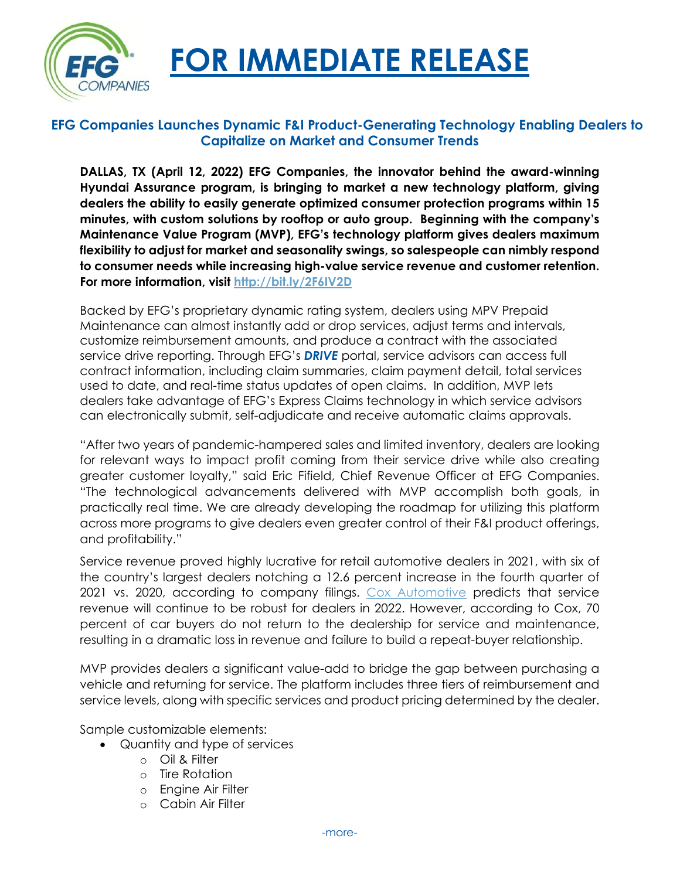

## **FOR IMMEDIATE RELEASE**

## **EFG Companies Launches Dynamic F&I Product-Generating Technology Enabling Dealers to Capitalize on Market and Consumer Trends**

**DALLAS, TX (April 12, 2022) EFG Companies, the innovator behind the award-winning Hyundai Assurance program, is bringing to market a new technology platform, giving dealers the ability to easily generate optimized consumer protection programs within 15 minutes, with custom solutions by rooftop or auto group. Beginning with the company's Maintenance Value Program (MVP), EFG's technology platform gives dealers maximum flexibility to adjust for market and seasonality swings, so salespeople can nimbly respond to consumer needs while increasing high-value service revenue and customer retention. For more information, visit<http://bit.ly/2F6IV2D>**

Backed by EFG's proprietary dynamic rating system, dealers using MPV Prepaid Maintenance can almost instantly add or drop services, adjust terms and intervals, customize reimbursement amounts, and produce a contract with the associated service drive reporting. Through EFG's *DRIVE* portal, service advisors can access full contract information, including claim summaries, claim payment detail, total services used to date, and real-time status updates of open claims. In addition, MVP lets dealers take advantage of EFG's Express Claims technology in which service advisors can electronically submit, self-adjudicate and receive automatic claims approvals.

"After two years of pandemic-hampered sales and limited inventory, dealers are looking for relevant ways to impact profit coming from their service drive while also creating greater customer loyalty," said Eric Fifield, Chief Revenue Officer at EFG Companies. "The technological advancements delivered with MVP accomplish both goals, in practically real time. We are already developing the roadmap for utilizing this platform across more programs to give dealers even greater control of their F&I product offerings, and profitability."

Service revenue proved highly lucrative for retail automotive dealers in 2021, with six of the country's largest dealers notching a 12.6 percent increase in the fourth quarter of 2021 vs. 2020, according to company filings. [Cox Automotive](https://www.coxenterprises.com/news/10-auto-industry-predictions-for-2022) predicts that service revenue will continue to be robust for dealers in 2022. However, according to Cox, 70 percent of car buyers do not return to the dealership for service and maintenance, resulting in a dramatic loss in revenue and failure to build a repeat-buyer relationship.

MVP provides dealers a significant value-add to bridge the gap between purchasing a vehicle and returning for service. The platform includes three tiers of reimbursement and service levels, along with specific services and product pricing determined by the dealer.

Sample customizable elements:

- Quantity and type of services
	- o Oil & Filter
	- o Tire Rotation
	- o Engine Air Filter
	- o Cabin Air Filter